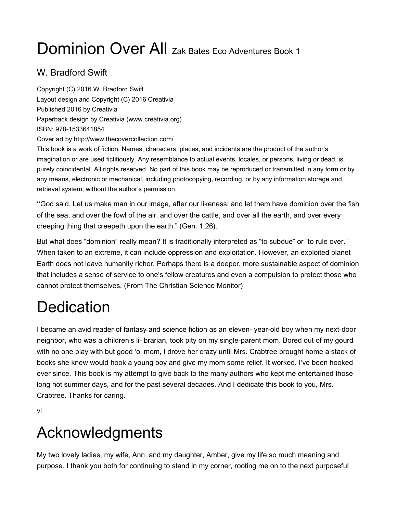# Dominion Over All Zak Bates Eco Adventures Book 1

## W. Bradford Swift

Copyright (C) 2016 W. Bradford Swift Layout design and Copyright (C) 2016 Creativia Published 2016 by Creativia Paperback design by Creativia (www.creativia.org) ISBN: 978-1533641854 Cover art by http://www.thecovercollection.com/

This book is a work of fiction. Names, characters, places, and incidents are the product of the author's imagination or are used fictitiously. Any resemblance to actual events, locales, or persons, living or dead, is purely coincidental. All rights reserved. No part of this book may be reproduced or transmitted in any form or by any means, electronic or mechanical, including photocopying, recording, or by any information storage and retrieval system, without the author's permission.

"God said, Let us make man in our image, after our likeness: and let them have dominion over the fish of the sea, and over the fowl of the air, and over the cattle, and over all the earth, and over every creeping thing that creepeth upon the earth." (Gen. 1.26).

But what does "dominion" really mean? It is traditionally interpreted as "to subdue" or "to rule over." When taken to an extreme, it can include oppression and exploitation. However, an exploited planet Earth does not leave humanity richer. Perhaps there is a deeper, more sustainable aspect of dominion that includes a sense of service to one's fellow creatures and even a compulsion to protect those who cannot protect themselves. (From The Christian Science Monitor)

## **Dedication**

I became an avid reader of fantasy and science fiction as an eleven- year-old boy when my next-door neighbor, who was a children's li- brarian, took pity on my single-parent mom. Bored out of my gourd with no one play with but good 'ol mom, I drove her crazy until Mrs. Crabtree brought home a stack of books she knew would hook a young boy and give my mom some relief. It worked. I've been hooked ever since. This book is my attempt to give back to the many authors who kept me entertained those long hot summer days, and for the past several decades. And I dedicate this book to you, Mrs. Crabtree. Thanks for caring.

vi

## Acknowledgments

My two lovely ladies, my wife, Ann, and my daughter, Amber, give my life so much meaning and purpose. I thank you both for continuing to stand in my corner, rooting me on to the next purposeful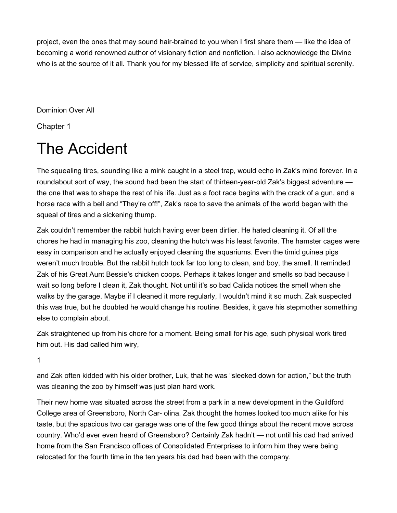project, even the ones that may sound hair-brained to you when I first share them — like the idea of becoming a world renowned author of visionary fiction and nonfiction. I also acknowledge the Divine who is at the source of it all. Thank you for my blessed life of service, simplicity and spiritual serenity.

Dominion Over All

Chapter 1

## The Accident

The squealing tires, sounding like a mink caught in a steel trap, would echo in Zak's mind forever. In a roundabout sort of way, the sound had been the start of thirteen-year-old Zak's biggest adventure the one that was to shape the rest of his life. Just as a foot race begins with the crack of a gun, and a horse race with a bell and "They're off!", Zak's race to save the animals of the world began with the squeal of tires and a sickening thump.

Zak couldn't remember the rabbit hutch having ever been dirtier. He hated cleaning it. Of all the chores he had in managing his zoo, cleaning the hutch was his least favorite. The hamster cages were easy in comparison and he actually enjoyed cleaning the aquariums. Even the timid guinea pigs weren't much trouble. But the rabbit hutch took far too long to clean, and boy, the smell. It reminded Zak of his Great Aunt Bessie's chicken coops. Perhaps it takes longer and smells so bad because I wait so long before I clean it, Zak thought. Not until it's so bad Calida notices the smell when she walks by the garage. Maybe if I cleaned it more regularly, I wouldn't mind it so much. Zak suspected this was true, but he doubted he would change his routine. Besides, it gave his stepmother something else to complain about.

Zak straightened up from his chore for a moment. Being small for his age, such physical work tired him out. His dad called him wiry,

1

and Zak often kidded with his older brother, Luk, that he was "sleeked down for action," but the truth was cleaning the zoo by himself was just plan hard work.

Their new home was situated across the street from a park in a new development in the Guildford College area of Greensboro, North Car- olina. Zak thought the homes looked too much alike for his taste, but the spacious two car garage was one of the few good things about the recent move across country. Who'd ever even heard of Greensboro? Certainly Zak hadn't — not until his dad had arrived home from the San Francisco offices of Consolidated Enterprises to inform him they were being relocated for the fourth time in the ten years his dad had been with the company.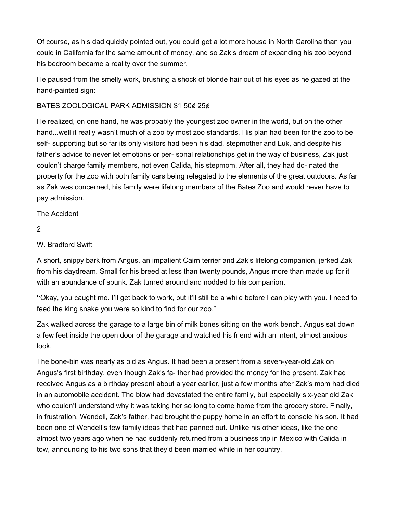Of course, as his dad quickly pointed out, you could get a lot more house in North Carolina than you could in California for the same amount of money, and so Zak's dream of expanding his zoo beyond his bedroom became a reality over the summer.

He paused from the smelly work, brushing a shock of blonde hair out of his eyes as he gazed at the hand-painted sign:

### BATES ZOOLOGICAL PARK ADMISSION \$1 50¢ 25¢

He realized, on one hand, he was probably the youngest zoo owner in the world, but on the other hand...well it really wasn't much of a zoo by most zoo standards. His plan had been for the zoo to be self- supporting but so far its only visitors had been his dad, stepmother and Luk, and despite his father's advice to never let emotions or per- sonal relationships get in the way of business, Zak just couldn't charge family members, not even Calida, his stepmom. After all, they had do- nated the property for the zoo with both family cars being relegated to the elements of the great outdoors. As far as Zak was concerned, his family were lifelong members of the Bates Zoo and would never have to pay admission.

The Accident

2

### W. Bradford Swift

A short, snippy bark from Angus, an impatient Cairn terrier and Zak's lifelong companion, jerked Zak from his daydream. Small for his breed at less than twenty pounds, Angus more than made up for it with an abundance of spunk. Zak turned around and nodded to his companion.

"Okay, you caught me. I'll get back to work, but it'll still be a while before I can play with you. I need to feed the king snake you were so kind to find for our zoo."

Zak walked across the garage to a large bin of milk bones sitting on the work bench. Angus sat down a few feet inside the open door of the garage and watched his friend with an intent, almost anxious look.

The bone-bin was nearly as old as Angus. It had been a present from a seven-year-old Zak on Angus's first birthday, even though Zak's fa- ther had provided the money for the present. Zak had received Angus as a birthday present about a year earlier, just a few months after Zak's mom had died in an automobile accident. The blow had devastated the entire family, but especially six-year old Zak who couldn't understand why it was taking her so long to come home from the grocery store. Finally, in frustration, Wendell, Zak's father, had brought the puppy home in an effort to console his son. It had been one of Wendell's few family ideas that had panned out. Unlike his other ideas, like the one almost two years ago when he had suddenly returned from a business trip in Mexico with Calida in tow, announcing to his two sons that they'd been married while in her country.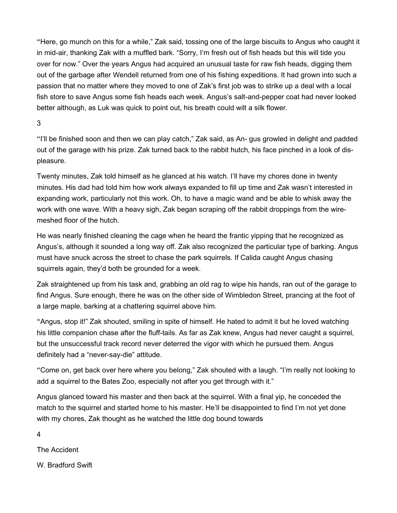"Here, go munch on this for a while," Zak said, tossing one of the large biscuits to Angus who caught it in mid-air, thanking Zak with a muffled bark. "Sorry, I'm fresh out of fish heads but this will tide you over for now." Over the years Angus had acquired an unusual taste for raw fish heads, digging them out of the garbage after Wendell returned from one of his fishing expeditions. It had grown into such a passion that no matter where they moved to one of Zak's first job was to strike up a deal with a local fish store to save Angus some fish heads each week. Angus's salt-and-pepper coat had never looked better although, as Luk was quick to point out, his breath could wilt a silk flower.

### 3

"I'll be finished soon and then we can play catch," Zak said, as An- gus growled in delight and padded out of the garage with his prize. Zak turned back to the rabbit hutch, his face pinched in a look of displeasure.

Twenty minutes, Zak told himself as he glanced at his watch. I'll have my chores done in twenty minutes. His dad had told him how work always expanded to fill up time and Zak wasn't interested in expanding work, particularly not this work. Oh, to have a magic wand and be able to whisk away the work with one wave. With a heavy sigh, Zak began scraping off the rabbit droppings from the wiremeshed floor of the hutch.

He was nearly finished cleaning the cage when he heard the frantic yipping that he recognized as Angus's, although it sounded a long way off. Zak also recognized the particular type of barking. Angus must have snuck across the street to chase the park squirrels. If Calida caught Angus chasing squirrels again, they'd both be grounded for a week.

Zak straightened up from his task and, grabbing an old rag to wipe his hands, ran out of the garage to find Angus. Sure enough, there he was on the other side of Wimbledon Street, prancing at the foot of a large maple, barking at a chattering squirrel above him.

"Angus, stop it!" Zak shouted, smiling in spite of himself. He hated to admit it but he loved watching his little companion chase after the fluff-tails. As far as Zak knew, Angus had never caught a squirrel, but the unsuccessful track record never deterred the vigor with which he pursued them. Angus definitely had a "never-say-die" attitude.

"Come on, get back over here where you belong," Zak shouted with a laugh. "I'm really not looking to add a squirrel to the Bates Zoo, especially not after you get through with it."

Angus glanced toward his master and then back at the squirrel. With a final yip, he conceded the match to the squirrel and started home to his master. He'll be disappointed to find I'm not yet done with my chores, Zak thought as he watched the little dog bound towards

4

The Accident

W. Bradford Swift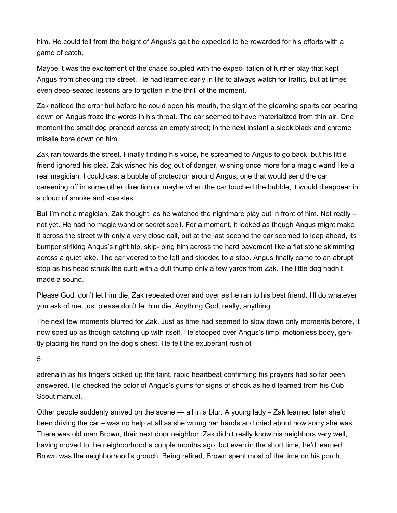him. He could tell from the height of Angus's gait he expected to be rewarded for his efforts with a game of catch.

Maybe it was the excitement of the chase coupled with the expec- tation of further play that kept Angus from checking the street. He had learned early in life to always watch for traffic, but at times even deep-seated lessons are forgotten in the thrill of the moment.

Zak noticed the error but before he could open his mouth, the sight of the gleaming sports car bearing down on Angus froze the words in his throat. The car seemed to have materialized from thin air. One moment the small dog pranced across an empty street; in the next instant a sleek black and chrome missile bore down on him.

Zak ran towards the street. Finally finding his voice, he screamed to Angus to go back, but his little friend ignored his plea. Zak wished his dog out of danger, wishing once more for a magic wand like a real magician. I could cast a bubble of protection around Angus, one that would send the car careening off in some other direction or maybe when the car touched the bubble, it would disappear in a cloud of smoke and sparkles.

But I'm not a magician, Zak thought, as he watched the nightmare play out in front of him. Not really – not yet. He had no magic wand or secret spell. For a moment, it looked as though Angus might make it across the street with only a very close call, but at the last second the car seemed to leap ahead, its bumper striking Angus's right hip, skip- ping him across the hard pavement like a flat stone skimming across a quiet lake. The car veered to the left and skidded to a stop. Angus finally came to an abrupt stop as his head struck the curb with a dull thump only a few yards from Zak. The little dog hadn't made a sound.

Please God, don't let him die, Zak repeated over and over as he ran to his best friend. I'll do whatever you ask of me, just please don't let him die. Anything God, really, anything.

The next few moments blurred for Zak. Just as time had seemed to slow down only moments before, it now sped up as though catching up with itself. He stooped over Angus's limp, motionless body, gently placing his hand on the dog's chest. He felt the exuberant rush of

5

adrenalin as his fingers picked up the faint, rapid heartbeat confirming his prayers had so far been answered. He checked the color of Angus's gums for signs of shock as he'd learned from his Cub Scout manual.

Other people suddenly arrived on the scene — all in a blur. A young lady – Zak learned later she'd been driving the car – was no help at all as she wrung her hands and cried about how sorry she was. There was old man Brown, their next door neighbor. Zak didn't really know his neighbors very well, having moved to the neighborhood a couple months ago, but even in the short time, he'd learned Brown was the neighborhood's grouch. Being retired, Brown spent most of the time on his porch,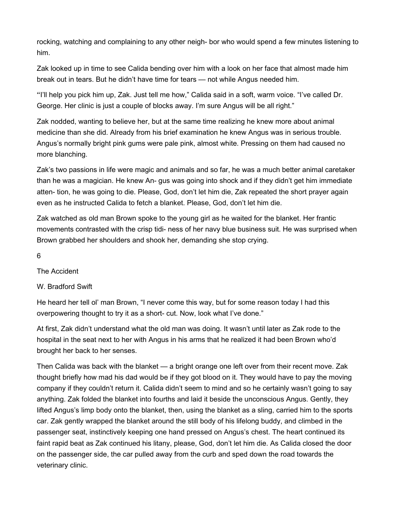rocking, watching and complaining to any other neigh- bor who would spend a few minutes listening to him.

Zak looked up in time to see Calida bending over him with a look on her face that almost made him break out in tears. But he didn't have time for tears — not while Angus needed him.

"I'll help you pick him up, Zak. Just tell me how," Calida said in a soft, warm voice. "I've called Dr. George. Her clinic is just a couple of blocks away. I'm sure Angus will be all right."

Zak nodded, wanting to believe her, but at the same time realizing he knew more about animal medicine than she did. Already from his brief examination he knew Angus was in serious trouble. Angus's normally bright pink gums were pale pink, almost white. Pressing on them had caused no more blanching.

Zak's two passions in life were magic and animals and so far, he was a much better animal caretaker than he was a magician. He knew An- gus was going into shock and if they didn't get him immediate atten- tion, he was going to die. Please, God, don't let him die, Zak repeated the short prayer again even as he instructed Calida to fetch a blanket. Please, God, don't let him die.

Zak watched as old man Brown spoke to the young girl as he waited for the blanket. Her frantic movements contrasted with the crisp tidi- ness of her navy blue business suit. He was surprised when Brown grabbed her shoulders and shook her, demanding she stop crying.

6

The Accident

W. Bradford Swift

He heard her tell ol' man Brown, "I never come this way, but for some reason today I had this overpowering thought to try it as a short- cut. Now, look what I've done."

At first, Zak didn't understand what the old man was doing. It wasn't until later as Zak rode to the hospital in the seat next to her with Angus in his arms that he realized it had been Brown who'd brought her back to her senses.

Then Calida was back with the blanket — a bright orange one left over from their recent move. Zak thought briefly how mad his dad would be if they got blood on it. They would have to pay the moving company if they couldn't return it. Calida didn't seem to mind and so he certainly wasn't going to say anything. Zak folded the blanket into fourths and laid it beside the unconscious Angus. Gently, they lifted Angus's limp body onto the blanket, then, using the blanket as a sling, carried him to the sports car. Zak gently wrapped the blanket around the still body of his lifelong buddy, and climbed in the passenger seat, instinctively keeping one hand pressed on Angus's chest. The heart continued its faint rapid beat as Zak continued his litany, please, God, don't let him die. As Calida closed the door on the passenger side, the car pulled away from the curb and sped down the road towards the veterinary clinic.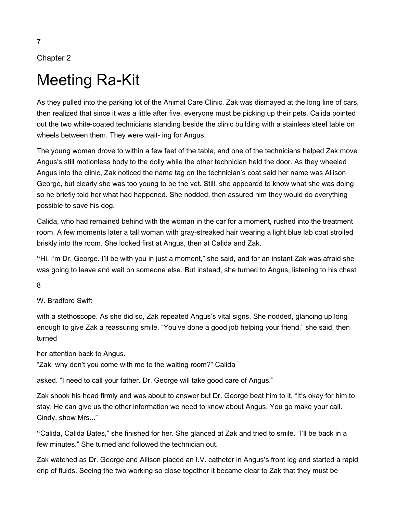## Chapter 2

## Meeting Ra-Kit

As they pulled into the parking lot of the Animal Care Clinic, Zak was dismayed at the long line of cars, then realized that since it was a little after five, everyone must be picking up their pets. Calida pointed out the two white-coated technicians standing beside the clinic building with a stainless steel table on wheels between them. They were wait- ing for Angus.

The young woman drove to within a few feet of the table, and one of the technicians helped Zak move Angus's still motionless body to the dolly while the other technician held the door. As they wheeled Angus into the clinic, Zak noticed the name tag on the technician's coat said her name was Allison George, but clearly she was too young to be the vet. Still, she appeared to know what she was doing so he briefly told her what had happened. She nodded, then assured him they would do everything possible to save his dog.

Calida, who had remained behind with the woman in the car for a moment, rushed into the treatment room. A few moments later a tall woman with gray-streaked hair wearing a light blue lab coat strolled briskly into the room. She looked first at Angus, then at Calida and Zak.

"Hi, I'm Dr. George. I'll be with you in just a moment," she said, and for an instant Zak was afraid she was going to leave and wait on someone else. But instead, she turned to Angus, listening to his chest

8

### W. Bradford Swift

with a stethoscope. As she did so, Zak repeated Angus's vital signs. She nodded, glancing up long enough to give Zak a reassuring smile. "You've done a good job helping your friend," she said, then turned

her attention back to Angus.

"Zak, why don't you come with me to the waiting room?" Calida

asked. "I need to call your father. Dr. George will take good care of Angus."

Zak shook his head firmly and was about to answer but Dr. George beat him to it. "It's okay for him to stay. He can give us the other information we need to know about Angus. You go make your call. Cindy, show Mrs..."

"Calida, Calida Bates," she finished for her. She glanced at Zak and tried to smile. "I'll be back in a few minutes." She turned and followed the technician out.

Zak watched as Dr. George and Allison placed an I.V. catheter in Angus's front leg and started a rapid drip of fluids. Seeing the two working so close together it became clear to Zak that they must be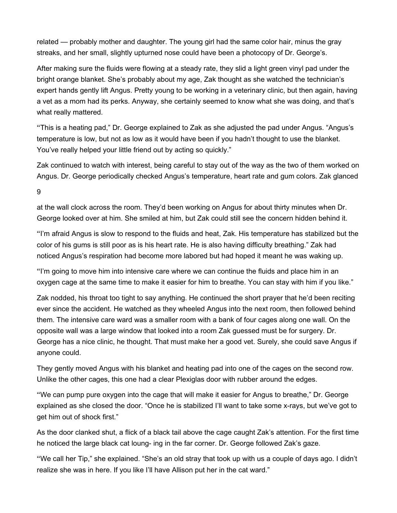related — probably mother and daughter. The young girl had the same color hair, minus the gray streaks, and her small, slightly upturned nose could have been a photocopy of Dr. George's.

After making sure the fluids were flowing at a steady rate, they slid a light green vinyl pad under the bright orange blanket. She's probably about my age, Zak thought as she watched the technician's expert hands gently lift Angus. Pretty young to be working in a veterinary clinic, but then again, having a vet as a mom had its perks. Anyway, she certainly seemed to know what she was doing, and that's what really mattered.

"This is a heating pad," Dr. George explained to Zak as she adjusted the pad under Angus. "Angus's temperature is low, but not as low as it would have been if you hadn't thought to use the blanket. You've really helped your little friend out by acting so quickly."

Zak continued to watch with interest, being careful to stay out of the way as the two of them worked on Angus. Dr. George periodically checked Angus's temperature, heart rate and gum colors. Zak glanced

9

at the wall clock across the room. They'd been working on Angus for about thirty minutes when Dr. George looked over at him. She smiled at him, but Zak could still see the concern hidden behind it.

"I'm afraid Angus is slow to respond to the fluids and heat, Zak. His temperature has stabilized but the color of his gums is still poor as is his heart rate. He is also having difficulty breathing." Zak had noticed Angus's respiration had become more labored but had hoped it meant he was waking up.

"I'm going to move him into intensive care where we can continue the fluids and place him in an oxygen cage at the same time to make it easier for him to breathe. You can stay with him if you like."

Zak nodded, his throat too tight to say anything. He continued the short prayer that he'd been reciting ever since the accident. He watched as they wheeled Angus into the next room, then followed behind them. The intensive care ward was a smaller room with a bank of four cages along one wall. On the opposite wall was a large window that looked into a room Zak guessed must be for surgery. Dr. George has a nice clinic, he thought. That must make her a good vet. Surely, she could save Angus if anyone could.

They gently moved Angus with his blanket and heating pad into one of the cages on the second row. Unlike the other cages, this one had a clear Plexiglas door with rubber around the edges.

"We can pump pure oxygen into the cage that will make it easier for Angus to breathe," Dr. George explained as she closed the door. "Once he is stabilized I'll want to take some x-rays, but we've got to get him out of shock first."

As the door clanked shut, a flick of a black tail above the cage caught Zak's attention. For the first time he noticed the large black cat loung- ing in the far corner. Dr. George followed Zak's gaze.

"We call her Tip," she explained. "She's an old stray that took up with us a couple of days ago. I didn't realize she was in here. If you like I'll have Allison put her in the cat ward."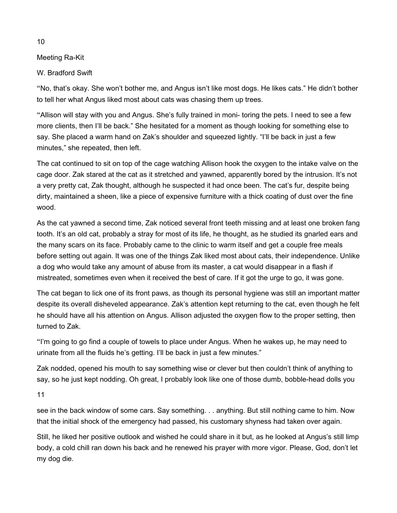Meeting Ra-Kit

W. Bradford Swift

"No, that's okay. She won't bother me, and Angus isn't like most dogs. He likes cats." He didn't bother to tell her what Angus liked most about cats was chasing them up trees.

"Allison will stay with you and Angus. She's fully trained in moni- toring the pets. I need to see a few more clients, then I'll be back." She hesitated for a moment as though looking for something else to say. She placed a warm hand on Zak's shoulder and squeezed lightly. "I'll be back in just a few minutes," she repeated, then left.

The cat continued to sit on top of the cage watching Allison hook the oxygen to the intake valve on the cage door. Zak stared at the cat as it stretched and yawned, apparently bored by the intrusion. It's not a very pretty cat, Zak thought, although he suspected it had once been. The cat's fur, despite being dirty, maintained a sheen, like a piece of expensive furniture with a thick coating of dust over the fine wood.

As the cat yawned a second time, Zak noticed several front teeth missing and at least one broken fang tooth. It's an old cat, probably a stray for most of its life, he thought, as he studied its gnarled ears and the many scars on its face. Probably came to the clinic to warm itself and get a couple free meals before setting out again. It was one of the things Zak liked most about cats, their independence. Unlike a dog who would take any amount of abuse from its master, a cat would disappear in a flash if mistreated, sometimes even when it received the best of care. If it got the urge to go, it was gone.

The cat began to lick one of its front paws, as though its personal hygiene was still an important matter despite its overall disheveled appearance. Zak's attention kept returning to the cat, even though he felt he should have all his attention on Angus. Allison adjusted the oxygen flow to the proper setting, then turned to Zak.

"I'm going to go find a couple of towels to place under Angus. When he wakes up, he may need to urinate from all the fluids he's getting. I'll be back in just a few minutes."

Zak nodded, opened his mouth to say something wise or clever but then couldn't think of anything to say, so he just kept nodding. Oh great, I probably look like one of those dumb, bobble-head dolls you

11

see in the back window of some cars. Say something. . . anything. But still nothing came to him. Now that the initial shock of the emergency had passed, his customary shyness had taken over again.

Still, he liked her positive outlook and wished he could share in it but, as he looked at Angus's still limp body, a cold chill ran down his back and he renewed his prayer with more vigor. Please, God, don't let my dog die.

10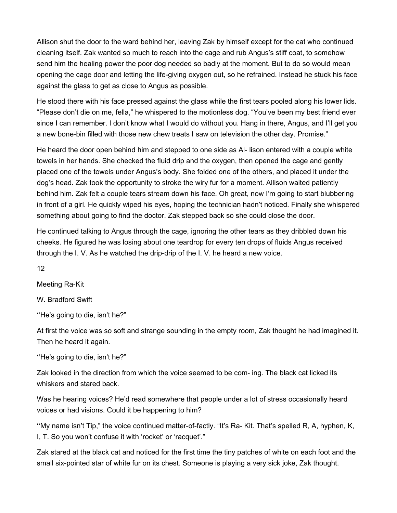Allison shut the door to the ward behind her, leaving Zak by himself except for the cat who continued cleaning itself. Zak wanted so much to reach into the cage and rub Angus's stiff coat, to somehow send him the healing power the poor dog needed so badly at the moment. But to do so would mean opening the cage door and letting the life-giving oxygen out, so he refrained. Instead he stuck his face against the glass to get as close to Angus as possible.

He stood there with his face pressed against the glass while the first tears pooled along his lower lids. "Please don't die on me, fella," he whispered to the motionless dog. "You've been my best friend ever since I can remember. I don't know what I would do without you. Hang in there, Angus, and I'll get you a new bone-bin filled with those new chew treats I saw on television the other day. Promise."

He heard the door open behind him and stepped to one side as Al- lison entered with a couple white towels in her hands. She checked the fluid drip and the oxygen, then opened the cage and gently placed one of the towels under Angus's body. She folded one of the others, and placed it under the dog's head. Zak took the opportunity to stroke the wiry fur for a moment. Allison waited patiently behind him. Zak felt a couple tears stream down his face. Oh great, now I'm going to start blubbering in front of a girl. He quickly wiped his eyes, hoping the technician hadn't noticed. Finally she whispered something about going to find the doctor. Zak stepped back so she could close the door.

He continued talking to Angus through the cage, ignoring the other tears as they dribbled down his cheeks. He figured he was losing about one teardrop for every ten drops of fluids Angus received through the I. V. As he watched the drip-drip of the I. V. he heard a new voice.

12

Meeting Ra-Kit

W. Bradford Swift

"He's going to die, isn't he?"

At first the voice was so soft and strange sounding in the empty room, Zak thought he had imagined it. Then he heard it again.

"He's going to die, isn't he?"

Zak looked in the direction from which the voice seemed to be com- ing. The black cat licked its whiskers and stared back.

Was he hearing voices? He'd read somewhere that people under a lot of stress occasionally heard voices or had visions. Could it be happening to him?

"My name isn't Tip," the voice continued matter-of-factly. "It's Ra- Kit. That's spelled R, A, hyphen, K, I, T. So you won't confuse it with 'rocket' or 'racquet'."

Zak stared at the black cat and noticed for the first time the tiny patches of white on each foot and the small six-pointed star of white fur on its chest. Someone is playing a very sick joke, Zak thought.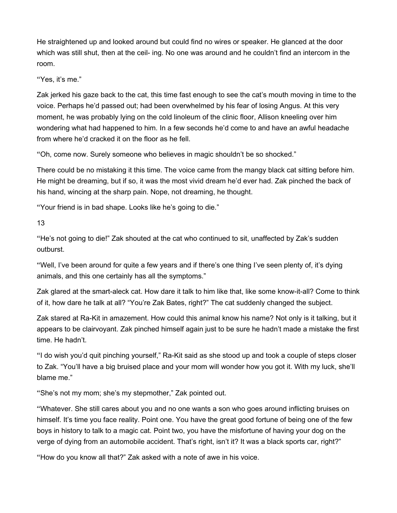He straightened up and looked around but could find no wires or speaker. He glanced at the door which was still shut, then at the ceil- ing. No one was around and he couldn't find an intercom in the room.

"Yes, it's me."

Zak jerked his gaze back to the cat, this time fast enough to see the cat's mouth moving in time to the voice. Perhaps he'd passed out; had been overwhelmed by his fear of losing Angus. At this very moment, he was probably lying on the cold linoleum of the clinic floor, Allison kneeling over him wondering what had happened to him. In a few seconds he'd come to and have an awful headache from where he'd cracked it on the floor as he fell.

"Oh, come now. Surely someone who believes in magic shouldn't be so shocked."

There could be no mistaking it this time. The voice came from the mangy black cat sitting before him. He might be dreaming, but if so, it was the most vivid dream he'd ever had. Zak pinched the back of his hand, wincing at the sharp pain. Nope, not dreaming, he thought.

"Your friend is in bad shape. Looks like he's going to die."

13

"He's not going to die!" Zak shouted at the cat who continued to sit, unaffected by Zak's sudden outburst.

"Well, I've been around for quite a few years and if there's one thing I've seen plenty of, it's dying animals, and this one certainly has all the symptoms."

Zak glared at the smart-aleck cat. How dare it talk to him like that, like some know-it-all? Come to think of it, how dare he talk at all? "You're Zak Bates, right?" The cat suddenly changed the subject.

Zak stared at Ra-Kit in amazement. How could this animal know his name? Not only is it talking, but it appears to be clairvoyant. Zak pinched himself again just to be sure he hadn't made a mistake the first time. He hadn't.

"I do wish you'd quit pinching yourself," Ra-Kit said as she stood up and took a couple of steps closer to Zak. "You'll have a big bruised place and your mom will wonder how you got it. With my luck, she'll blame me."

"She's not my mom; she's my stepmother," Zak pointed out.

"Whatever. She still cares about you and no one wants a son who goes around inflicting bruises on himself. It's time you face reality. Point one. You have the great good fortune of being one of the few boys in history to talk to a magic cat. Point two, you have the misfortune of having your dog on the verge of dying from an automobile accident. That's right, isn't it? It was a black sports car, right?"

"How do you know all that?" Zak asked with a note of awe in his voice.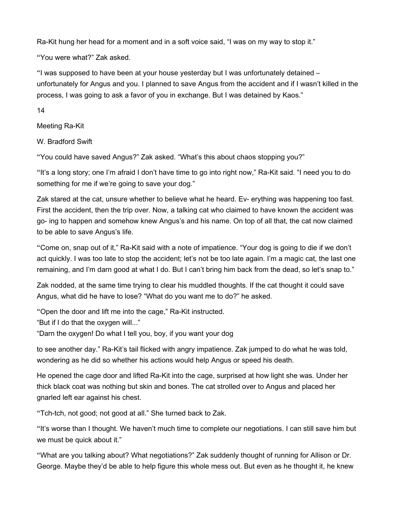Ra-Kit hung her head for a moment and in a soft voice said, "I was on my way to stop it."

"You were what?" Zak asked.

"I was supposed to have been at your house yesterday but I was unfortunately detained – unfortunately for Angus and you. I planned to save Angus from the accident and if I wasn't killed in the process, I was going to ask a favor of you in exchange. But I was detained by Kaos."

14

Meeting Ra-Kit

W. Bradford Swift

"You could have saved Angus?" Zak asked. "What's this about chaos stopping you?"

"It's a long story; one I'm afraid I don't have time to go into right now," Ra-Kit said. "I need you to do something for me if we're going to save your dog."

Zak stared at the cat, unsure whether to believe what he heard. Ev- erything was happening too fast. First the accident, then the trip over. Now, a talking cat who claimed to have known the accident was go- ing to happen and somehow knew Angus's and his name. On top of all that, the cat now claimed to be able to save Angus's life.

"Come on, snap out of it," Ra-Kit said with a note of impatience. "Your dog is going to die if we don't act quickly. I was too late to stop the accident; let's not be too late again. I'm a magic cat, the last one remaining, and I'm darn good at what I do. But I can't bring him back from the dead, so let's snap to."

Zak nodded, at the same time trying to clear his muddled thoughts. If the cat thought it could save Angus, what did he have to lose? "What do you want me to do?" he asked.

"Open the door and lift me into the cage," Ra-Kit instructed.

"But if I do that the oxygen will..."

"Darn the oxygen! Do what I tell you, boy, if you want your dog

to see another day." Ra-Kit's tail flicked with angry impatience. Zak jumped to do what he was told, wondering as he did so whether his actions would help Angus or speed his death.

He opened the cage door and lifted Ra-Kit into the cage, surprised at how light she was. Under her thick black coat was nothing but skin and bones. The cat strolled over to Angus and placed her gnarled left ear against his chest.

"Tch-tch, not good; not good at all." She turned back to Zak.

"It's worse than I thought. We haven't much time to complete our negotiations. I can still save him but we must be quick about it."

"What are you talking about? What negotiations?" Zak suddenly thought of running for Allison or Dr. George. Maybe they'd be able to help figure this whole mess out. But even as he thought it, he knew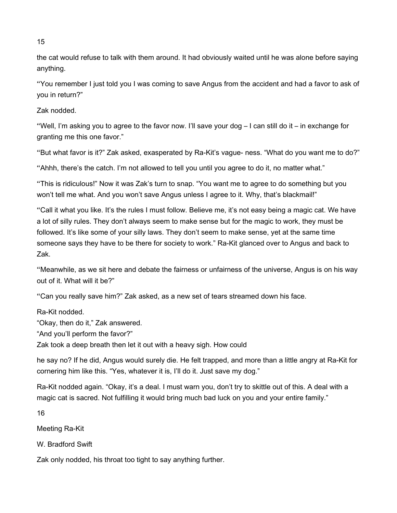the cat would refuse to talk with them around. It had obviously waited until he was alone before saying anything.

"You remember I just told you I was coming to save Angus from the accident and had a favor to ask of you in return?"

Zak nodded.

"Well, I'm asking you to agree to the favor now. I'll save your dog – I can still do it – in exchange for granting me this one favor."

"But what favor is it?" Zak asked, exasperated by Ra-Kit's vague- ness. "What do you want me to do?"

"Ahhh, there's the catch. I'm not allowed to tell you until you agree to do it, no matter what."

"This is ridiculous!" Now it was Zak's turn to snap. "You want me to agree to do something but you won't tell me what. And you won't save Angus unless I agree to it. Why, that's blackmail!"

"Call it what you like. It's the rules I must follow. Believe me, it's not easy being a magic cat. We have a lot of silly rules. They don't always seem to make sense but for the magic to work, they must be followed. It's like some of your silly laws. They don't seem to make sense, yet at the same time someone says they have to be there for society to work." Ra-Kit glanced over to Angus and back to Zak.

"Meanwhile, as we sit here and debate the fairness or unfairness of the universe, Angus is on his way out of it. What will it be?"

"Can you really save him?" Zak asked, as a new set of tears streamed down his face.

Ra-Kit nodded.

"Okay, then do it," Zak answered.

"And you'll perform the favor?"

Zak took a deep breath then let it out with a heavy sigh. How could

he say no? If he did, Angus would surely die. He felt trapped, and more than a little angry at Ra-Kit for cornering him like this. "Yes, whatever it is, I'll do it. Just save my dog."

Ra-Kit nodded again. "Okay, it's a deal. I must warn you, don't try to skittle out of this. A deal with a magic cat is sacred. Not fulfilling it would bring much bad luck on you and your entire family."

16

Meeting Ra-Kit

W. Bradford Swift

Zak only nodded, his throat too tight to say anything further.

15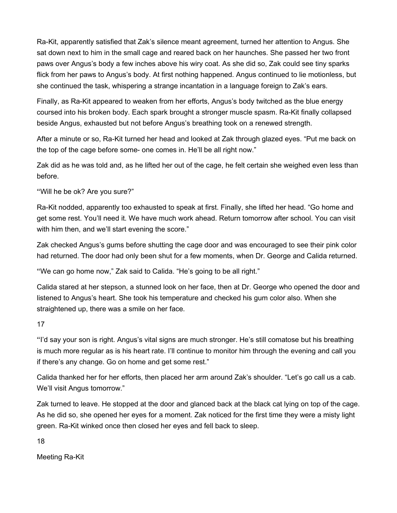Ra-Kit, apparently satisfied that Zak's silence meant agreement, turned her attention to Angus. She sat down next to him in the small cage and reared back on her haunches. She passed her two front paws over Angus's body a few inches above his wiry coat. As she did so, Zak could see tiny sparks flick from her paws to Angus's body. At first nothing happened. Angus continued to lie motionless, but she continued the task, whispering a strange incantation in a language foreign to Zak's ears.

Finally, as Ra-Kit appeared to weaken from her efforts, Angus's body twitched as the blue energy coursed into his broken body. Each spark brought a stronger muscle spasm. Ra-Kit finally collapsed beside Angus, exhausted but not before Angus's breathing took on a renewed strength.

After a minute or so, Ra-Kit turned her head and looked at Zak through glazed eyes. "Put me back on the top of the cage before some- one comes in. He'll be all right now."

Zak did as he was told and, as he lifted her out of the cage, he felt certain she weighed even less than before.

"Will he be ok? Are you sure?"

Ra-Kit nodded, apparently too exhausted to speak at first. Finally, she lifted her head. "Go home and get some rest. You'll need it. We have much work ahead. Return tomorrow after school. You can visit with him then, and we'll start evening the score."

Zak checked Angus's gums before shutting the cage door and was encouraged to see their pink color had returned. The door had only been shut for a few moments, when Dr. George and Calida returned.

"We can go home now," Zak said to Calida. "He's going to be all right."

Calida stared at her stepson, a stunned look on her face, then at Dr. George who opened the door and listened to Angus's heart. She took his temperature and checked his gum color also. When she straightened up, there was a smile on her face.

17

"I'd say your son is right. Angus's vital signs are much stronger. He's still comatose but his breathing is much more regular as is his heart rate. I'll continue to monitor him through the evening and call you if there's any change. Go on home and get some rest."

Calida thanked her for her efforts, then placed her arm around Zak's shoulder. "Let's go call us a cab. We'll visit Angus tomorrow."

Zak turned to leave. He stopped at the door and glanced back at the black cat lying on top of the cage. As he did so, she opened her eyes for a moment. Zak noticed for the first time they were a misty light green. Ra-Kit winked once then closed her eyes and fell back to sleep.

18

Meeting Ra-Kit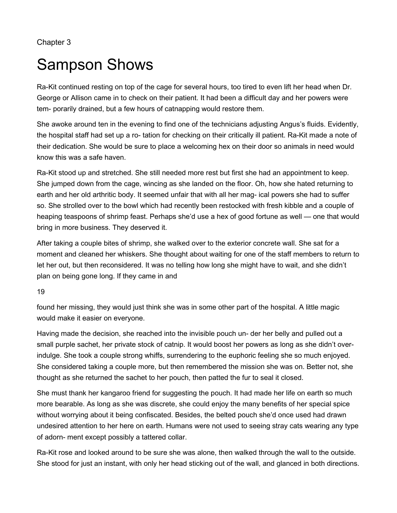Chapter 3

## Sampson Shows

Ra-Kit continued resting on top of the cage for several hours, too tired to even lift her head when Dr. George or Allison came in to check on their patient. It had been a difficult day and her powers were tem- porarily drained, but a few hours of catnapping would restore them.

She awoke around ten in the evening to find one of the technicians adjusting Angus's fluids. Evidently, the hospital staff had set up a ro- tation for checking on their critically ill patient. Ra-Kit made a note of their dedication. She would be sure to place a welcoming hex on their door so animals in need would know this was a safe haven.

Ra-Kit stood up and stretched. She still needed more rest but first she had an appointment to keep. She jumped down from the cage, wincing as she landed on the floor. Oh, how she hated returning to earth and her old arthritic body. It seemed unfair that with all her mag- ical powers she had to suffer so. She strolled over to the bowl which had recently been restocked with fresh kibble and a couple of heaping teaspoons of shrimp feast. Perhaps she'd use a hex of good fortune as well — one that would bring in more business. They deserved it.

After taking a couple bites of shrimp, she walked over to the exterior concrete wall. She sat for a moment and cleaned her whiskers. She thought about waiting for one of the staff members to return to let her out, but then reconsidered. It was no telling how long she might have to wait, and she didn't plan on being gone long. If they came in and

19

found her missing, they would just think she was in some other part of the hospital. A little magic would make it easier on everyone.

Having made the decision, she reached into the invisible pouch un- der her belly and pulled out a small purple sachet, her private stock of catnip. It would boost her powers as long as she didn't overindulge. She took a couple strong whiffs, surrendering to the euphoric feeling she so much enjoyed. She considered taking a couple more, but then remembered the mission she was on. Better not, she thought as she returned the sachet to her pouch, then patted the fur to seal it closed.

She must thank her kangaroo friend for suggesting the pouch. It had made her life on earth so much more bearable. As long as she was discrete, she could enjoy the many benefits of her special spice without worrying about it being confiscated. Besides, the belted pouch she'd once used had drawn undesired attention to her here on earth. Humans were not used to seeing stray cats wearing any type of adorn- ment except possibly a tattered collar.

Ra-Kit rose and looked around to be sure she was alone, then walked through the wall to the outside. She stood for just an instant, with only her head sticking out of the wall, and glanced in both directions.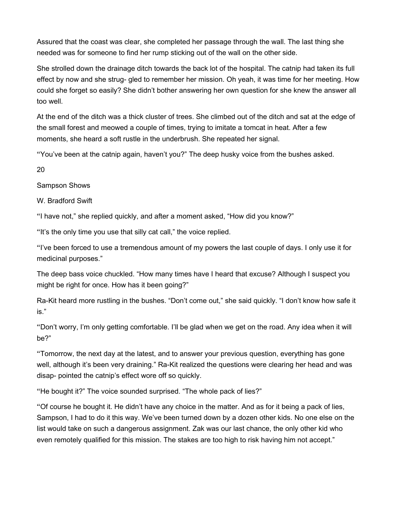Assured that the coast was clear, she completed her passage through the wall. The last thing she needed was for someone to find her rump sticking out of the wall on the other side.

She strolled down the drainage ditch towards the back lot of the hospital. The catnip had taken its full effect by now and she strug- gled to remember her mission. Oh yeah, it was time for her meeting. How could she forget so easily? She didn't bother answering her own question for she knew the answer all too well.

At the end of the ditch was a thick cluster of trees. She climbed out of the ditch and sat at the edge of the small forest and meowed a couple of times, trying to imitate a tomcat in heat. After a few moments, she heard a soft rustle in the underbrush. She repeated her signal.

"You've been at the catnip again, haven't you?" The deep husky voice from the bushes asked.

20

Sampson Shows

W. Bradford Swift

"I have not," she replied quickly, and after a moment asked, "How did you know?"

"It's the only time you use that silly cat call," the voice replied.

"I've been forced to use a tremendous amount of my powers the last couple of days. I only use it for medicinal purposes."

The deep bass voice chuckled. "How many times have I heard that excuse? Although I suspect you might be right for once. How has it been going?"

Ra-Kit heard more rustling in the bushes. "Don't come out," she said quickly. "I don't know how safe it is."

"Don't worry, I'm only getting comfortable. I'll be glad when we get on the road. Any idea when it will be?"

"Tomorrow, the next day at the latest, and to answer your previous question, everything has gone well, although it's been very draining." Ra-Kit realized the questions were clearing her head and was disap- pointed the catnip's effect wore off so quickly.

"He bought it?" The voice sounded surprised. "The whole pack of lies?"

"Of course he bought it. He didn't have any choice in the matter. And as for it being a pack of lies, Sampson, I had to do it this way. We've been turned down by a dozen other kids. No one else on the list would take on such a dangerous assignment. Zak was our last chance, the only other kid who even remotely qualified for this mission. The stakes are too high to risk having him not accept."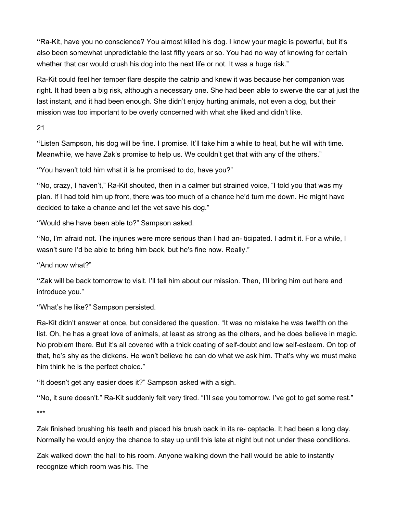"Ra-Kit, have you no conscience? You almost killed his dog. I know your magic is powerful, but it's also been somewhat unpredictable the last fifty years or so. You had no way of knowing for certain whether that car would crush his dog into the next life or not. It was a huge risk."

Ra-Kit could feel her temper flare despite the catnip and knew it was because her companion was right. It had been a big risk, although a necessary one. She had been able to swerve the car at just the last instant, and it had been enough. She didn't enjoy hurting animals, not even a dog, but their mission was too important to be overly concerned with what she liked and didn't like.

21

"Listen Sampson, his dog will be fine. I promise. It'll take him a while to heal, but he will with time. Meanwhile, we have Zak's promise to help us. We couldn't get that with any of the others."

"You haven't told him what it is he promised to do, have you?"

"No, crazy, I haven't," Ra-Kit shouted, then in a calmer but strained voice, "I told you that was my plan. If I had told him up front, there was too much of a chance he'd turn me down. He might have decided to take a chance and let the vet save his dog."

"Would she have been able to?" Sampson asked.

"No, I'm afraid not. The injuries were more serious than I had an- ticipated. I admit it. For a while, I wasn't sure I'd be able to bring him back, but he's fine now. Really."

"And now what?"

"Zak will be back tomorrow to visit. I'll tell him about our mission. Then, I'll bring him out here and introduce you."

"What's he like?" Sampson persisted.

Ra-Kit didn't answer at once, but considered the question. "It was no mistake he was twelfth on the list. Oh, he has a great love of animals, at least as strong as the others, and he does believe in magic. No problem there. But it's all covered with a thick coating of self-doubt and low self-esteem. On top of that, he's shy as the dickens. He won't believe he can do what we ask him. That's why we must make him think he is the perfect choice."

"It doesn't get any easier does it?" Sampson asked with a sigh.

"No, it sure doesn't." Ra-Kit suddenly felt very tired. "I'll see you tomorrow. I've got to get some rest." \*\*\*

Zak finished brushing his teeth and placed his brush back in its re- ceptacle. It had been a long day. Normally he would enjoy the chance to stay up until this late at night but not under these conditions.

Zak walked down the hall to his room. Anyone walking down the hall would be able to instantly recognize which room was his. The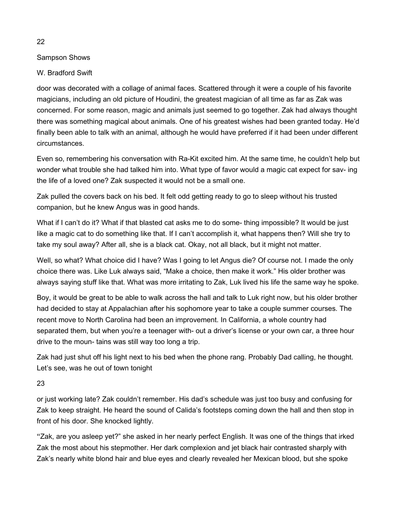### Sampson Shows

### W. Bradford Swift

door was decorated with a collage of animal faces. Scattered through it were a couple of his favorite magicians, including an old picture of Houdini, the greatest magician of all time as far as Zak was concerned. For some reason, magic and animals just seemed to go together. Zak had always thought there was something magical about animals. One of his greatest wishes had been granted today. He'd finally been able to talk with an animal, although he would have preferred if it had been under different circumstances.

Even so, remembering his conversation with Ra-Kit excited him. At the same time, he couldn't help but wonder what trouble she had talked him into. What type of favor would a magic cat expect for sav- ing the life of a loved one? Zak suspected it would not be a small one.

Zak pulled the covers back on his bed. It felt odd getting ready to go to sleep without his trusted companion, but he knew Angus was in good hands.

What if I can't do it? What if that blasted cat asks me to do some- thing impossible? It would be just like a magic cat to do something like that. If I can't accomplish it, what happens then? Will she try to take my soul away? After all, she is a black cat. Okay, not all black, but it might not matter.

Well, so what? What choice did I have? Was I going to let Angus die? Of course not. I made the only choice there was. Like Luk always said, "Make a choice, then make it work." His older brother was always saying stuff like that. What was more irritating to Zak, Luk lived his life the same way he spoke.

Boy, it would be great to be able to walk across the hall and talk to Luk right now, but his older brother had decided to stay at Appalachian after his sophomore year to take a couple summer courses. The recent move to North Carolina had been an improvement. In California, a whole country had separated them, but when you're a teenager with- out a driver's license or your own car, a three hour drive to the moun- tains was still way too long a trip.

Zak had just shut off his light next to his bed when the phone rang. Probably Dad calling, he thought. Let's see, was he out of town tonight

23

or just working late? Zak couldn't remember. His dad's schedule was just too busy and confusing for Zak to keep straight. He heard the sound of Calida's footsteps coming down the hall and then stop in front of his door. She knocked lightly.

"Zak, are you asleep yet?" she asked in her nearly perfect English. It was one of the things that irked Zak the most about his stepmother. Her dark complexion and jet black hair contrasted sharply with Zak's nearly white blond hair and blue eyes and clearly revealed her Mexican blood, but she spoke

#### 22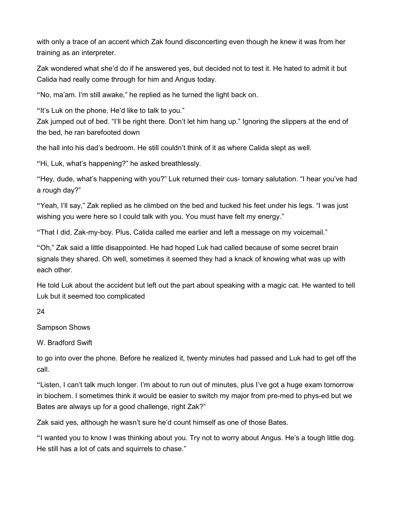with only a trace of an accent which Zak found disconcerting even though he knew it was from her training as an interpreter.

Zak wondered what she'd do if he answered yes, but decided not to test it. He hated to admit it but Calida had really come through for him and Angus today.

"No, ma'am. I'm still awake," he replied as he turned the light back on.

"It's Luk on the phone. He'd like to talk to you."

Zak jumped out of bed. "I'll be right there. Don't let him hang up." Ignoring the slippers at the end of the bed, he ran barefooted down

the hall into his dad's bedroom. He still couldn't think of it as where Calida slept as well.

"Hi, Luk, what's happening?" he asked breathlessly.

"Hey, dude, what's happening with you?" Luk returned their cus- tomary salutation. "I hear you've had a rough day?"

"Yeah, I'll say," Zak replied as he climbed on the bed and tucked his feet under his legs. "I was just wishing you were here so I could talk with you. You must have felt my energy."

"That I did, Zak-my-boy. Plus, Calida called me earlier and left a message on my voicemail."

"Oh," Zak said a little disappointed. He had hoped Luk had called because of some secret brain signals they shared. Oh well, sometimes it seemed they had a knack of knowing what was up with each other.

He told Luk about the accident but left out the part about speaking with a magic cat. He wanted to tell Luk but it seemed too complicated

24

Sampson Shows

W. Bradford Swift

to go into over the phone. Before he realized it, twenty minutes had passed and Luk had to get off the call.

"Listen, I can't talk much longer. I'm about to run out of minutes, plus I've got a huge exam tomorrow in biochem. I sometimes think it would be easier to switch my major from pre-med to phys-ed but we Bates are always up for a good challenge, right Zak?"

Zak said yes, although he wasn't sure he'd count himself as one of those Bates.

"I wanted you to know I was thinking about you. Try not to worry about Angus. He's a tough little dog. He still has a lot of cats and squirrels to chase."